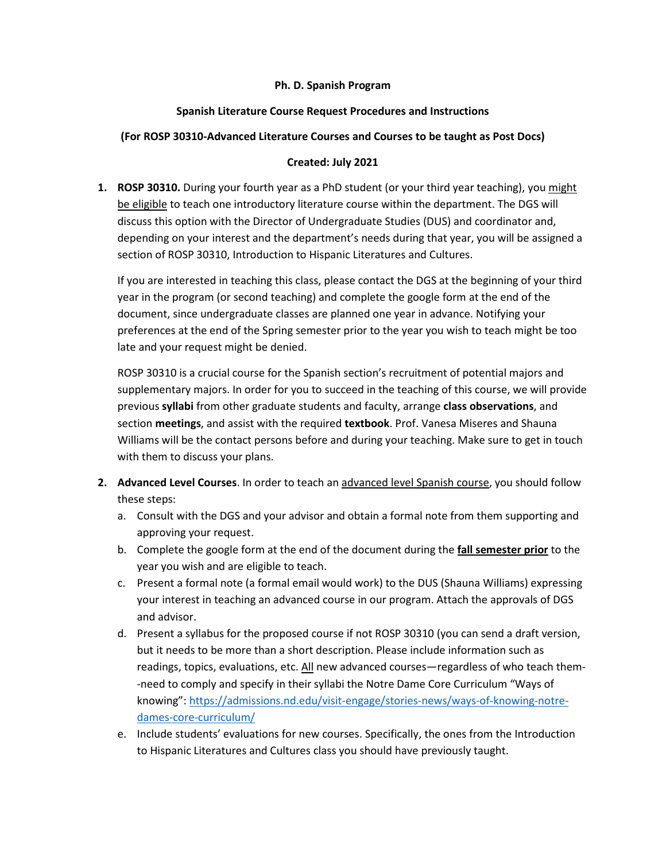## **Ph. D. Spanish Program**

# **Spanish Literature Course Request Procedures and Instructions**

## **(For ROSP 30310-Advanced Literature Courses and Courses to be taught as Post Docs)**

## **Created: July 2021**

**1. ROSP 30310.** During your fourth year as a PhD student (or your third year teaching), you might be eligible to teach one introductory literature course within the department. The DGS will discuss this option with the Director of Undergraduate Studies (DUS) and coordinator and, depending on your interest and the department's needs during that year, you will be assigned a section of ROSP 30310, Introduction to Hispanic Literatures and Cultures.

If you are interested in teaching this class, please contact the DGS at the beginning of your third year in the program (or second teaching) and complete the google form at the end of the document, since undergraduate classes are planned one year in advance. Notifying your preferences at the end of the Spring semester prior to the year you wish to teach might be too late and your request might be denied.

ROSP 30310 is a crucial course for the Spanish section's recruitment of potential majors and supplementary majors. In order for you to succeed in the teaching of this course, we will provide previous **syllabi** from other graduate students and faculty, arrange **class observations**, and section **meetings**, and assist with the required **textbook**. Prof. Vanesa Miseres and Shauna Williams will be the contact persons before and during your teaching. Make sure to get in touch with them to discuss your plans.

- **2. Advanced Level Courses**. In order to teach an advanced level Spanish course, you should follow these steps:
	- a. Consult with the DGS and your advisor and obtain a formal note from them supporting and approving your request.
	- b. Complete the google form at the end of the document during the **fall semester prior** to the year you wish and are eligible to teach.
	- c. Present a formal note (a formal email would work) to the DUS (Shauna Williams) expressing your interest in teaching an advanced course in our program. Attach the approvals of DGS and advisor.
	- d. Present a syllabus for the proposed course if not ROSP 30310 (you can send a draft version, but it needs to be more than a short description. Please include information such as readings, topics, evaluations, etc. All new advanced courses—regardless of who teach them--need to comply and specify in their syllabi the Notre Dame Core Curriculum "Ways of knowing": [https://admissions.nd.edu/visit-engage/stories-news/ways-of-knowing-notre](https://admissions.nd.edu/visit-engage/stories-news/ways-of-knowing-notre-dames-core-curriculum/)[dames-core-curriculum/](https://admissions.nd.edu/visit-engage/stories-news/ways-of-knowing-notre-dames-core-curriculum/)
	- e. Include students' evaluations for new courses. Specifically, the ones from the Introduction to Hispanic Literatures and Cultures class you should have previously taught.